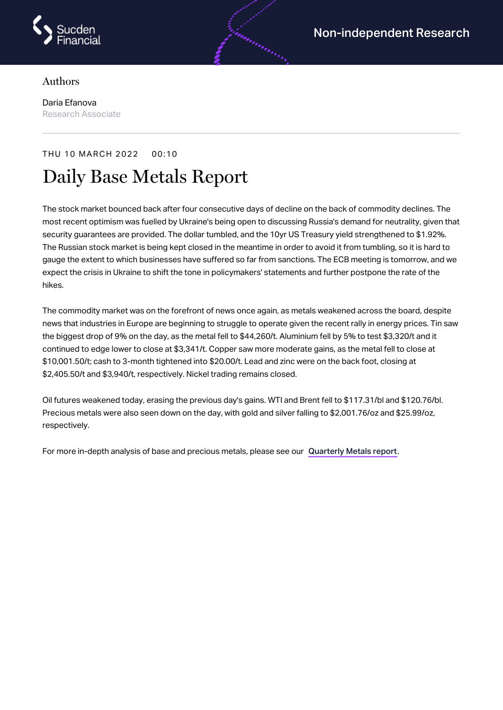

## Authors

Daria Efanova Research Associate

## THU 10 MARCH 2022 00:10

## Daily Base Metals Report

The stock market bounced back after four consecutive days of decline on the back of commodity declines. The most recent optimism was fuelled by Ukraine's being open to discussing Russia's demand for neutrality, given that security guarantees are provided. The dollar tumbled, and the 10yr US Treasury yield strengthened to \$1.92%. The Russian stock market is being kept closed in the meantime in order to avoid it from tumbling, so it is hard to gauge the extent to which businesses have suffered so far from sanctions. The ECB meeting is tomorrow, and we expect the crisis in Ukraine to shift the tone in policymakers' statements and further postpone the rate of the hikes.

androning

The commodity market was on the forefront of news once again, as metals weakened across the board, despite news that industries in Europe are beginning to struggle to operate given the recent rally in energy prices. Tin saw the biggest drop of 9% on the day, as the metal fell to \$44,260/t. Aluminium fell by 5% to test \$3,320/t and it continued to edge lower to close at \$3,341/t. Copper saw more moderate gains, as the metal fell to close at \$10,001.50/t; cash to 3-month tightened into \$20.00/t. Lead and zinc were on the back foot, closing at \$2,405.50/t and \$3,940/t, respectively. Nickel trading remains closed.

Oil futures weakened today, erasing the previous day's gains. WTI and Brent fell to \$117.31/bl and \$120.76/bl. Precious metals were also seen down on the day, with gold and silver falling to \$2,001.76/oz and \$25.99/oz, respectively.

For more in-depth analysis of base and precious metals, please see our [Quarterly](https://www.sucdenfinancial.com/en/reports/quarterly-metals/qmr-q1-2022/) Metals report.